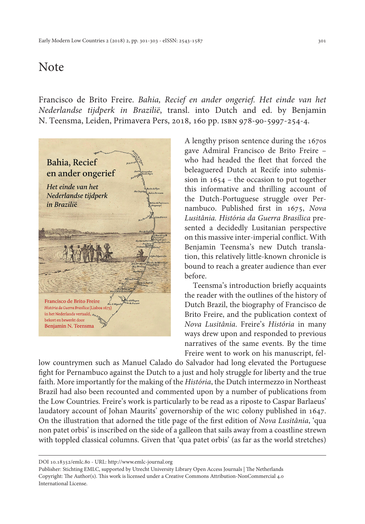## Note

Francisco de Brito Freire. *Bahia, Recief en ander ongerief. Het einde van het Nederlandse tijdperk in Brazilië*, transl. into Dutch and ed. by Benjamin N. Teensma, Leiden, Primavera Pers, 2018, 160 pp. isbn 978-90-5997-254-4.



A lengthy prison sentence during the 1670s gave Admiral Francisco de Brito Freire – who had headed the fleet that forced the beleaguered Dutch at Recife into submission in 1654 – the occasion to put together this informative and thrilling account of the Dutch-Portuguese struggle over Pernambuco. Published first in 1675, *Nova Lusitânia. História da Guerra Brasílica* presented a decidedly Lusitanian perspective on this massive inter-imperial conflict. With Benjamin Teensma's new Dutch translation, this relatively little-known chronicle is bound to reach a greater audience than ever before.

Teensma's introduction briefly acquaints the reader with the outlines of the history of Dutch Brazil, the biography of Francisco de Brito Freire, and the publication context of *Nova Lusitânia*. Freire's *História* in many ways drew upon and responded to previous narratives of the same events. By the time Freire went to work on his manuscript, fel-

low countrymen such as Manuel Calado do Salvador had long elevated the Portuguese fight for Pernambuco against the Dutch to a just and holy struggle for liberty and the true faith. More importantly for the making of the *História*, the Dutch intermezzo in Northeast Brazil had also been recounted and commented upon by a number of publications from the Low Countries. Freire's work is particularly to be read as a riposte to Caspar Barlaeus' laudatory account of Johan Maurits' governorship of the wic colony published in 1647. On the illustration that adorned the title page of the first edition of *Nova Lusitânia*, 'qua non patet orbis' is inscribed on the side of a galleon that sails away from a coastline strewn with toppled classical columns. Given that 'qua patet orbis' (as far as the world stretches)

DOI 10.18352/emlc.80 - URL:<http://www.emlc-journal.org>

Publisher: Stichting EMLC, supported by Utrecht University Library Open Access Journals | The Netherlands Copyright: The Author(s). This work is licensed under a Creative Commons Attribution-NonCommercial 4.0 International License.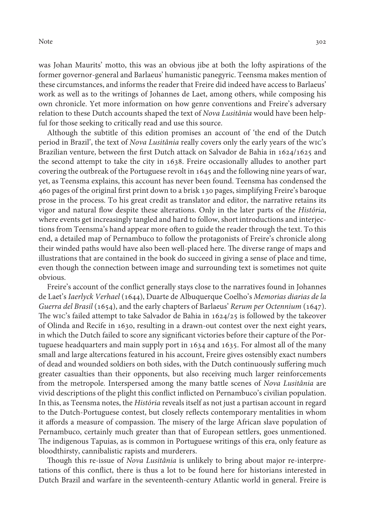Note 302

was Johan Maurits' motto, this was an obvious jibe at both the lofty aspirations of the former governor-general and Barlaeus' humanistic panegyric. Teensma makes mention of these circumstances, and informs the reader that Freire did indeed have access to Barlaeus' work as well as to the writings of Johannes de Laet, among others, while composing his own chronicle. Yet more information on how genre conventions and Freire's adversary relation to these Dutch accounts shaped the text of *Nova Lusitânia* would have been helpful for those seeking to critically read and use this source.

Although the subtitle of this edition promises an account of 'the end of the Dutch period in Brazil', the text of *Nova Lusitânia* really covers only the early years of the wic's Brazilian venture, between the first Dutch attack on Salvador de Bahia in 1624/1625 and the second attempt to take the city in 1638. Freire occasionally alludes to another part covering the outbreak of the Portuguese revolt in 1645 and the following nine years of war, yet, as Teensma explains, this account has never been found. Teensma has condensed the 460 pages of the original first print down to a brisk 130 pages, simplifying Freire's baroque prose in the process. To his great credit as translator and editor, the narrative retains its vigor and natural flow despite these alterations. Only in the later parts of the *História*, where events get increasingly tangled and hard to follow, short introductions and interjections from Teensma's hand appear more often to guide the reader through the text. To this end, a detailed map of Pernambuco to follow the protagonists of Freire's chronicle along their winded paths would have also been well-placed here. The diverse range of maps and illustrations that are contained in the book do succeed in giving a sense of place and time, even though the connection between image and surrounding text is sometimes not quite obvious.

Freire's account of the conflict generally stays close to the narratives found in Johannes de Laet's *Iaerlyck Verhael* (1644), Duarte de Albuquerque Coelho's *Memorias diarias de la Guerra del Brasil* (1654), and the early chapters of Barlaeus' *Rerum per Octennium* (1647). The wic's failed attempt to take Salvador de Bahia in 1624/25 is followed by the takeover of Olinda and Recife in 1630, resulting in a drawn-out contest over the next eight years, in which the Dutch failed to score any significant victories before their capture of the Portuguese headquarters and main supply port in 1634 and 1635. For almost all of the many small and large altercations featured in his account, Freire gives ostensibly exact numbers of dead and wounded soldiers on both sides, with the Dutch continuously suffering much greater casualties than their opponents, but also receiving much larger reinforcements from the metropole. Interspersed among the many battle scenes of *Nova Lusitânia* are vivid descriptions of the plight this conflict inflicted on Pernambuco's civilian population. In this, as Teensma notes, the *História* reveals itself as not just a partisan account in regard to the Dutch-Portuguese contest, but closely reflects contemporary mentalities in whom it affords a measure of compassion. The misery of the large African slave population of Pernambuco, certainly much greater than that of European settlers, goes unmentioned. The indigenous Tapuias, as is common in Portuguese writings of this era, only feature as bloodthirsty, cannibalistic rapists and murderers.

Though this re-issue of *Nova Lusitânia* is unlikely to bring about major re-interpretations of this conflict, there is thus a lot to be found here for historians interested in Dutch Brazil and warfare in the seventeenth-century Atlantic world in general. Freire is